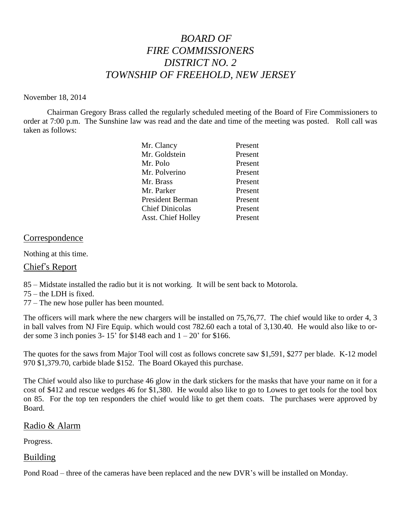# *BOARD OF FIRE COMMISSIONERS DISTRICT NO. 2 TOWNSHIP OF FREEHOLD, NEW JERSEY*

#### November 18, 2014

Chairman Gregory Brass called the regularly scheduled meeting of the Board of Fire Commissioners to order at 7:00 p.m. The Sunshine law was read and the date and time of the meeting was posted. Roll call was taken as follows:

| Mr. Clancy              | Present |
|-------------------------|---------|
| Mr. Goldstein           | Present |
| Mr. Polo                | Present |
| Mr. Polverino           | Present |
| Mr. Brass               | Present |
| Mr. Parker              | Present |
| <b>President Berman</b> | Present |
| <b>Chief Dinicolas</b>  | Present |
| Asst. Chief Holley      | Present |
|                         |         |

#### Correspondence

Nothing at this time.

## Chief's Report

85 – Midstate installed the radio but it is not working. It will be sent back to Motorola.

75 – the LDH is fixed.

77 – The new hose puller has been mounted.

The officers will mark where the new chargers will be installed on 75,76,77. The chief would like to order 4, 3 in ball valves from NJ Fire Equip. which would cost 782.60 each a total of 3,130.40. He would also like to order some 3 inch ponies 3- 15' for  $$148$  each and  $1 - 20'$  for  $$166$ .

The quotes for the saws from Major Tool will cost as follows concrete saw \$1,591, \$277 per blade. K-12 model 970 \$1,379.70, carbide blade \$152. The Board Okayed this purchase.

The Chief would also like to purchase 46 glow in the dark stickers for the masks that have your name on it for a cost of \$412 and rescue wedges 46 for \$1,380. He would also like to go to Lowes to get tools for the tool box on 85. For the top ten responders the chief would like to get them coats. The purchases were approved by Board.

#### Radio & Alarm

Progress.

## Building

Pond Road – three of the cameras have been replaced and the new DVR's will be installed on Monday.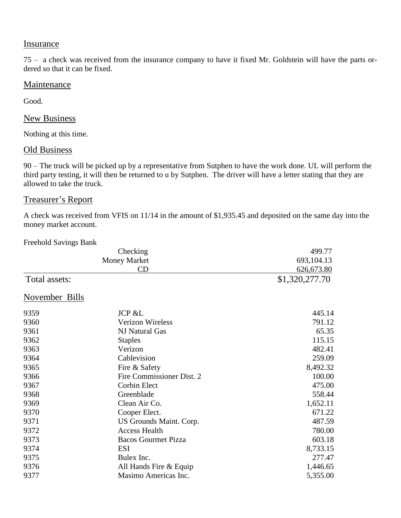## **Insurance**

75 – a check was received from the insurance company to have it fixed Mr. Goldstein will have the parts ordered so that it can be fixed.

## **Maintenance**

Good.

#### New Business

Nothing at this time.

#### **Old Business**

90 – The truck will be picked up by a representative from Sutphen to have the work done. UL will perform the third party testing, it will then be returned to u by Sutphen. The driver will have a letter stating that they are allowed to take the truck.

## Treasurer's Report

A check was received from VFIS on 11/14 in the amount of \$1,935.45 and deposited on the same day into the money market account.

Freehold Savings Bank

|                | Checking                   | 499.77         |
|----------------|----------------------------|----------------|
|                | <b>Money Market</b>        | 693, 104. 13   |
|                | CD                         | 626, 673.80    |
| Total assets:  |                            | \$1,320,277.70 |
| November Bills |                            |                |
| 9359           | <b>JCP &amp;L</b>          | 445.14         |
| 9360           | <b>Verizon Wireless</b>    | 791.12         |
| 9361           | NJ Natural Gas             | 65.35          |
| 9362           | <b>Staples</b>             | 115.15         |
| 9363           | Verizon                    | 482.41         |
| 9364           | Cablevision                | 259.09         |
| 9365           | Fire & Safety              | 8,492.32       |
| 9366           | Fire Commissioner Dist. 2  | 100.00         |
| 9367           | Corbin Elect               | 475.00         |
| 9368           | Greenblade                 | 558.44         |
| 9369           | Clean Air Co.              | 1,652.11       |
| 9370           | Cooper Elect.              | 671.22         |
| 9371           | US Grounds Maint. Corp.    | 487.59         |
| 9372           | <b>Access Health</b>       | 780.00         |
| 9373           | <b>Bacos Gourmet Pizza</b> | 603.18         |
| 9374           | <b>ESI</b>                 | 8,733.15       |
| 9375           | Bulex Inc.                 | 277.47         |
| 9376           | All Hands Fire & Equip     | 1,446.65       |
| 9377           | Masimo Americas Inc.       | 5,355.00       |